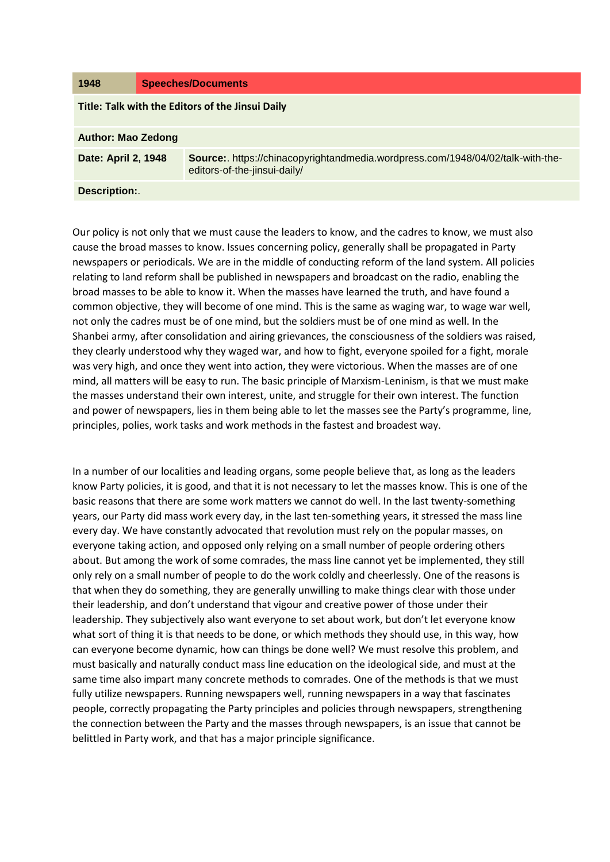| 1948                                             | <b>Speeches/Documents</b> |                                                                                                                 |
|--------------------------------------------------|---------------------------|-----------------------------------------------------------------------------------------------------------------|
| Title: Talk with the Editors of the Jinsui Daily |                           |                                                                                                                 |
| <b>Author: Mao Zedong</b>                        |                           |                                                                                                                 |
| Date: April 2, 1948                              |                           | Source:. https://chinacopyrightandmedia.wordpress.com/1948/04/02/talk-with-the-<br>editors-of-the-jinsui-daily/ |
| <b>Description:.</b>                             |                           |                                                                                                                 |

Our policy is not only that we must cause the leaders to know, and the cadres to know, we must also cause the broad masses to know. Issues concerning policy, generally shall be propagated in Party newspapers or periodicals. We are in the middle of conducting reform of the land system. All policies relating to land reform shall be published in newspapers and broadcast on the radio, enabling the broad masses to be able to know it. When the masses have learned the truth, and have found a common objective, they will become of one mind. This is the same as waging war, to wage war well, not only the cadres must be of one mind, but the soldiers must be of one mind as well. In the Shanbei army, after consolidation and airing grievances, the consciousness of the soldiers was raised, they clearly understood why they waged war, and how to fight, everyone spoiled for a fight, morale was very high, and once they went into action, they were victorious. When the masses are of one mind, all matters will be easy to run. The basic principle of Marxism-Leninism, is that we must make the masses understand their own interest, unite, and struggle for their own interest. The function and power of newspapers, lies in them being able to let the masses see the Party's programme, line, principles, polies, work tasks and work methods in the fastest and broadest way.

In a number of our localities and leading organs, some people believe that, as long as the leaders know Party policies, it is good, and that it is not necessary to let the masses know. This is one of the basic reasons that there are some work matters we cannot do well. In the last twenty-something years, our Party did mass work every day, in the last ten-something years, it stressed the mass line every day. We have constantly advocated that revolution must rely on the popular masses, on everyone taking action, and opposed only relying on a small number of people ordering others about. But among the work of some comrades, the mass line cannot yet be implemented, they still only rely on a small number of people to do the work coldly and cheerlessly. One of the reasons is that when they do something, they are generally unwilling to make things clear with those under their leadership, and don't understand that vigour and creative power of those under their leadership. They subjectively also want everyone to set about work, but don't let everyone know what sort of thing it is that needs to be done, or which methods they should use, in this way, how can everyone become dynamic, how can things be done well? We must resolve this problem, and must basically and naturally conduct mass line education on the ideological side, and must at the same time also impart many concrete methods to comrades. One of the methods is that we must fully utilize newspapers. Running newspapers well, running newspapers in a way that fascinates people, correctly propagating the Party principles and policies through newspapers, strengthening the connection between the Party and the masses through newspapers, is an issue that cannot be belittled in Party work, and that has a major principle significance.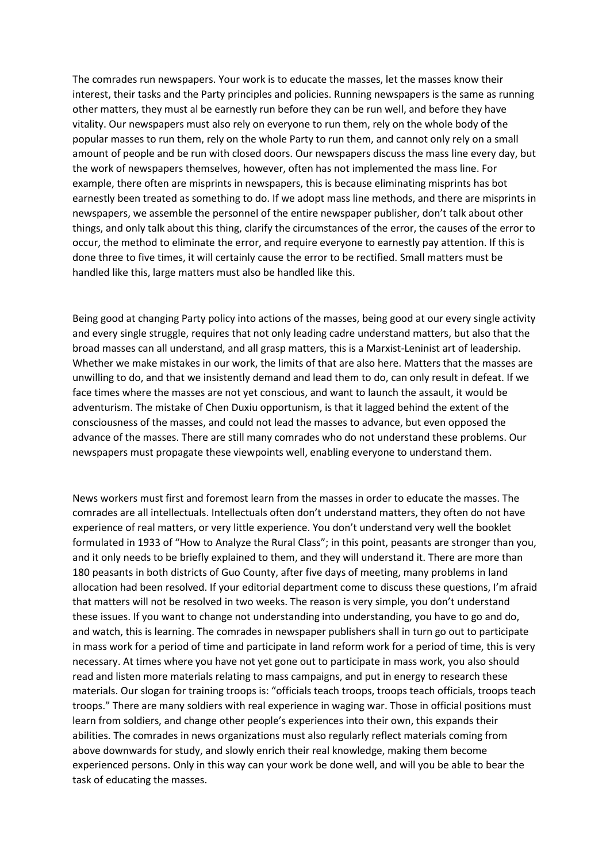The comrades run newspapers. Your work is to educate the masses, let the masses know their interest, their tasks and the Party principles and policies. Running newspapers is the same as running other matters, they must al be earnestly run before they can be run well, and before they have vitality. Our newspapers must also rely on everyone to run them, rely on the whole body of the popular masses to run them, rely on the whole Party to run them, and cannot only rely on a small amount of people and be run with closed doors. Our newspapers discuss the mass line every day, but the work of newspapers themselves, however, often has not implemented the mass line. For example, there often are misprints in newspapers, this is because eliminating misprints has bot earnestly been treated as something to do. If we adopt mass line methods, and there are misprints in newspapers, we assemble the personnel of the entire newspaper publisher, don't talk about other things, and only talk about this thing, clarify the circumstances of the error, the causes of the error to occur, the method to eliminate the error, and require everyone to earnestly pay attention. If this is done three to five times, it will certainly cause the error to be rectified. Small matters must be handled like this, large matters must also be handled like this.

Being good at changing Party policy into actions of the masses, being good at our every single activity and every single struggle, requires that not only leading cadre understand matters, but also that the broad masses can all understand, and all grasp matters, this is a Marxist-Leninist art of leadership. Whether we make mistakes in our work, the limits of that are also here. Matters that the masses are unwilling to do, and that we insistently demand and lead them to do, can only result in defeat. If we face times where the masses are not yet conscious, and want to launch the assault, it would be adventurism. The mistake of Chen Duxiu opportunism, is that it lagged behind the extent of the consciousness of the masses, and could not lead the masses to advance, but even opposed the advance of the masses. There are still many comrades who do not understand these problems. Our newspapers must propagate these viewpoints well, enabling everyone to understand them.

News workers must first and foremost learn from the masses in order to educate the masses. The comrades are all intellectuals. Intellectuals often don't understand matters, they often do not have experience of real matters, or very little experience. You don't understand very well the booklet formulated in 1933 of "How to Analyze the Rural Class"; in this point, peasants are stronger than you, and it only needs to be briefly explained to them, and they will understand it. There are more than 180 peasants in both districts of Guo County, after five days of meeting, many problems in land allocation had been resolved. If your editorial department come to discuss these questions, I'm afraid that matters will not be resolved in two weeks. The reason is very simple, you don't understand these issues. If you want to change not understanding into understanding, you have to go and do, and watch, this is learning. The comrades in newspaper publishers shall in turn go out to participate in mass work for a period of time and participate in land reform work for a period of time, this is very necessary. At times where you have not yet gone out to participate in mass work, you also should read and listen more materials relating to mass campaigns, and put in energy to research these materials. Our slogan for training troops is: "officials teach troops, troops teach officials, troops teach troops." There are many soldiers with real experience in waging war. Those in official positions must learn from soldiers, and change other people's experiences into their own, this expands their abilities. The comrades in news organizations must also regularly reflect materials coming from above downwards for study, and slowly enrich their real knowledge, making them become experienced persons. Only in this way can your work be done well, and will you be able to bear the task of educating the masses.